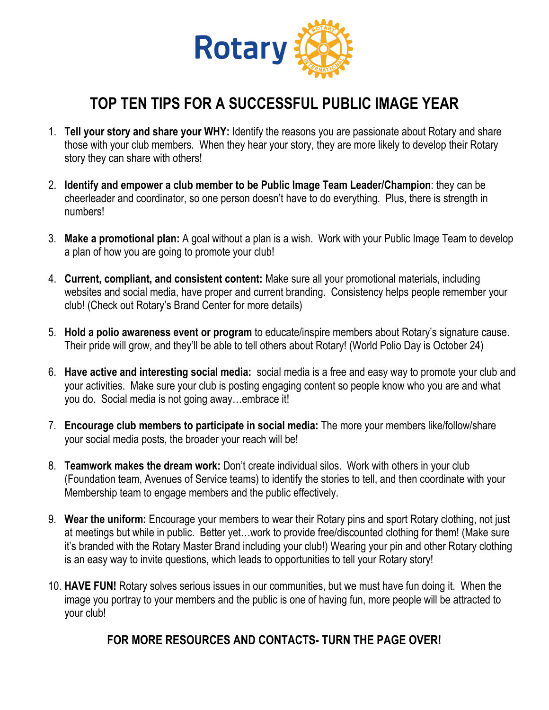

## **TOP TEN TIPS FOR A SUCCESSFUL PUBLIC IMAGE YEAR**

- 1. **Tell your story and share your WHY:** Identify the reasons you are passionate about Rotary and share those with your club members. When they hear your story, they are more likely to develop their Rotary story they can share with others!
- 2. **Identify and empower a club member to be Public Image Team Leader/Champion**: they can be cheerleader and coordinator, so one person doesn't have to do everything. Plus, there is strength in numbers!
- 3. **Make a promotional plan:** A goal without a plan is a wish. Work with your Public Image Team to develop a plan of how you are going to promote your club!
- 4. **Current, compliant, and consistent content:** Make sure all your promotional materials, including websites and social media, have proper and current branding. Consistency helps people remember your club! (Check out Rotary's Brand Center for more details)
- 5. **Hold a polio awareness event or program** to educate/inspire members about Rotary's signature cause. Their pride will grow, and they'll be able to tell others about Rotary! (World Polio Day is October 24)
- 6. **Have active and interesting social media:** social media is a free and easy way to promote your club and your activities. Make sure your club is posting engaging content so people know who you are and what you do. Social media is not going away…embrace it!
- 7. **Encourage club members to participate in social media:** The more your members like/follow/share your social media posts, the broader your reach will be!
- 8. **Teamwork makes the dream work:** Don't create individual silos. Work with others in your club (Foundation team, Avenues of Service teams) to identify the stories to tell, and then coordinate with your Membership team to engage members and the public effectively.
- 9. **Wear the uniform:** Encourage your members to wear their Rotary pins and sport Rotary clothing, not just at meetings but while in public. Better yet…work to provide free/discounted clothing for them! (Make sure it's branded with the Rotary Master Brand including your club!) Wearing your pin and other Rotary clothing is an easy way to invite questions, which leads to opportunities to tell your Rotary story!
- 10. **HAVE FUN!** Rotary solves serious issues in our communities, but we must have fun doing it. When the image you portray to your members and the public is one of having fun, more people will be attracted to your club!

#### **FOR MORE RESOURCES AND CONTACTS- TURN THE PAGE OVER!**